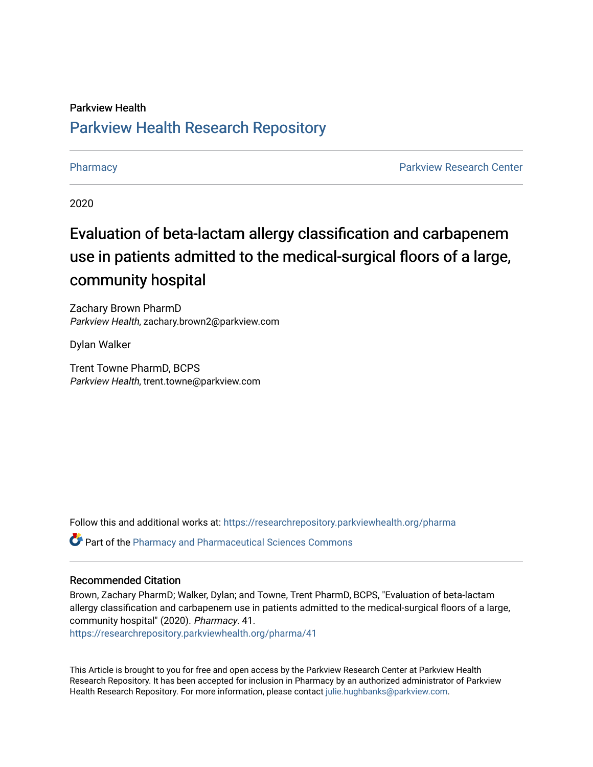### Parkview Health [Parkview Health Research Repository](https://researchrepository.parkviewhealth.org/)

[Pharmacy](https://researchrepository.parkviewhealth.org/pharma) **Parkview Research Center Parkview Research Center** 

2020

### Evaluation of beta-lactam allergy classification and carbapenem use in patients admitted to the medical-surgical floors of a large, community hospital

Zachary Brown PharmD Parkview Health, zachary.brown2@parkview.com

Dylan Walker

Trent Towne PharmD, BCPS Parkview Health, trent.towne@parkview.com

Follow this and additional works at: [https://researchrepository.parkviewhealth.org/pharma](https://researchrepository.parkviewhealth.org/pharma?utm_source=researchrepository.parkviewhealth.org%2Fpharma%2F41&utm_medium=PDF&utm_campaign=PDFCoverPages) 

Part of the [Pharmacy and Pharmaceutical Sciences Commons](http://network.bepress.com/hgg/discipline/731?utm_source=researchrepository.parkviewhealth.org%2Fpharma%2F41&utm_medium=PDF&utm_campaign=PDFCoverPages)

### Recommended Citation

Brown, Zachary PharmD; Walker, Dylan; and Towne, Trent PharmD, BCPS, "Evaluation of beta-lactam allergy classification and carbapenem use in patients admitted to the medical-surgical floors of a large, community hospital" (2020). Pharmacy. 41.

[https://researchrepository.parkviewhealth.org/pharma/41](https://researchrepository.parkviewhealth.org/pharma/41?utm_source=researchrepository.parkviewhealth.org%2Fpharma%2F41&utm_medium=PDF&utm_campaign=PDFCoverPages)

This Article is brought to you for free and open access by the Parkview Research Center at Parkview Health Research Repository. It has been accepted for inclusion in Pharmacy by an authorized administrator of Parkview Health Research Repository. For more information, please contact [julie.hughbanks@parkview.com](mailto:julie.hughbanks@parkview.com).